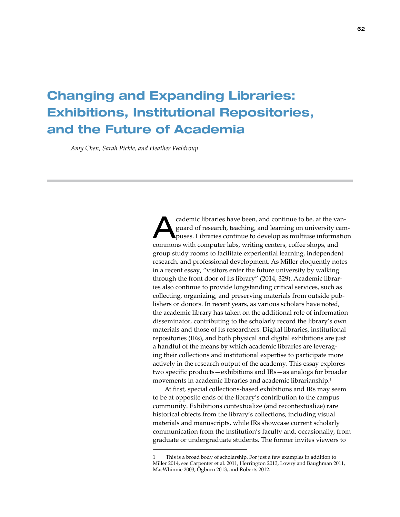# Changing and Expanding Libraries: Exhibitions, Institutional Repositories, and the Future of Academia

*Amy Chen, Sarah Pickle, and Heather Waldroup*

cademic libraries have been, and continue to be, at the van-<br>guard of research, teaching, and learning on university cam-<br>puses. Libraries continue to develop as multiuse information guard of research, teaching, and learning on university camcommons with computer labs, writing centers, coffee shops, and group study rooms to facilitate experiential learning, independent research, and professional development. As Miller eloquently notes in a recent essay, "visitors enter the future university by walking through the front door of its library" (2014, 329). Academic libraries also continue to provide longstanding critical services, such as collecting, organizing, and preserving materials from outside publishers or donors. In recent years, as various scholars have noted, the academic library has taken on the additional role of information disseminator, contributing to the scholarly record the library's own materials and those of its researchers. Digital libraries, institutional repositories (IRs), and both physical and digital exhibitions are just a handful of the means by which academic libraries are leveraging their collections and institutional expertise to participate more actively in the research output of the academy. This essay explores two specific products—exhibitions and IRs—as analogs for broader movements in academic libraries and academic librarianship.<sup>1</sup>

At first, special collections-based exhibitions and IRs may seem to be at opposite ends of the library's contribution to the campus community. Exhibitions contextualize (and recontextualize) rare historical objects from the library's collections, including visual materials and manuscripts, while IRs showcase current scholarly communication from the institution's faculty and, occasionally, from graduate or undergraduate students. The former invites viewers to

<sup>1</sup> This is a broad body of scholarship. For just a few examples in addition to Miller 2014, see Carpenter et al. 2011, Herrington 2013, Lowry and Baughman 2011, MacWhinnie 2003, Ogburn 2013, and Roberts 2012.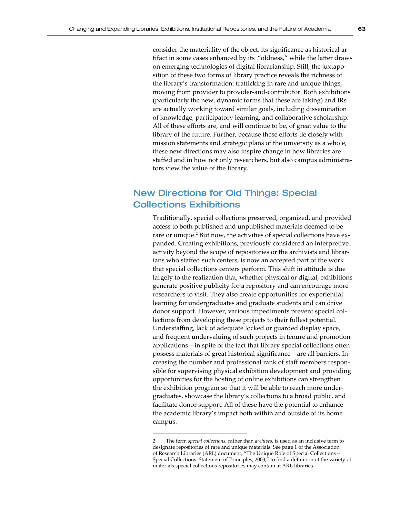consider the materiality of the object, its significance as historical artifact in some cases enhanced by its "oldness," while the latter draws on emerging technologies of digital librarianship. Still, the juxtaposition of these two forms of library practice reveals the richness of the library's transformation: trafficking in rare and unique things, moving from provider to provider-and-contributor. Both exhibitions (particularly the new, dynamic forms that these are taking) and IRs are actually working toward similar goals, including dissemination of knowledge, participatory learning, and collaborative scholarship. All of these efforts are, and will continue to be, of great value to the library of the future. Further, because these efforts tie closely with mission statements and strategic plans of the university as a whole, these new directions may also inspire change in how libraries are staffed and in how not only researchers, but also campus administrators view the value of the library.

## New Directions for Old Things: Special Collections Exhibitions

Traditionally, special collections preserved, organized, and provided access to both published and unpublished materials deemed to be rare or unique.<sup>2</sup> But now, the activities of special collections have expanded. Creating exhibitions, previously considered an interpretive activity beyond the scope of repositories or the archivists and librarians who staffed such centers, is now an accepted part of the work that special collections centers perform. This shift in attitude is due largely to the realization that, whether physical or digital, exhibitions generate positive publicity for a repository and can encourage more researchers to visit. They also create opportunities for experiential learning for undergraduates and graduate students and can drive donor support. However, various impediments prevent special collections from developing these projects to their fullest potential. Understaffing, lack of adequate locked or guarded display space, and frequent undervaluing of such projects in tenure and promotion applications—in spite of the fact that library special collections often possess materials of great historical significance—are all barriers. Increasing the number and professional rank of staff members responsible for supervising physical exhibition development and providing opportunities for the hosting of online exhibitions can strengthen the exhibition program so that it will be able to reach more undergraduates, showcase the library's collections to a broad public, and facilitate donor support. All of these have the potential to enhance the academic library's impact both within and outside of its home campus.

<sup>2</sup> The term *special collections*, rather than *archives*, is used as an inclusive term to designate repositories of rare and unique materials. See page 1 of the Association of Research Libraries (ARL) document, "The Unique Role of Special Collections— Special Collections: Statement of Principles, 2003," to find a definition of the variety of materials special collections repositories may contain at ARL libraries.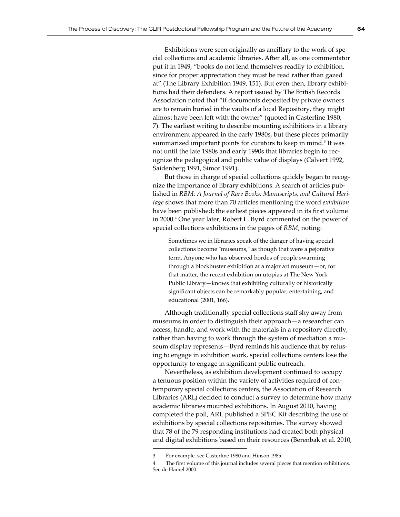Exhibitions were seen originally as ancillary to the work of special collections and academic libraries. After all, as one commentator put it in 1949, "books do not lend themselves readily to exhibition, since for proper appreciation they must be read rather than gazed at" (The Library Exhibition 1949, 151). But even then, library exhibitions had their defenders. A report issued by The British Records Association noted that "if documents deposited by private owners are to remain buried in the vaults of a local Repository, they might almost have been left with the owner" (quoted in Casterline 1980, 7). The earliest writing to describe mounting exhibitions in a library environment appeared in the early 1980s, but these pieces primarily summarized important points for curators to keep in mind.<sup>3</sup> It was not until the late 1980s and early 1990s that libraries begin to recognize the pedagogical and public value of displays (Calvert 1992, Saidenberg 1991, Simor 1991).

But those in charge of special collections quickly began to recognize the importance of library exhibitions. A search of articles published in *RBM: A Journal of Rare Books, Manuscripts, and Cultural Heritage* shows that more than 70 articles mentioning the word *exhibition* have been published; the earliest pieces appeared in its first volume in 2000.4 One year later, Robert L. Byrd commented on the power of special collections exhibitions in the pages of *RBM*, noting:

Sometimes we in libraries speak of the danger of having special collections become "museums," as though that were a pejorative term. Anyone who has observed hordes of people swarming through a blockbuster exhibition at a major art museum—or, for that matter, the recent exhibition on utopias at The New York Public Library—knows that exhibiting culturally or historically significant objects can be remarkably popular, entertaining, and educational (2001, 166).

Although traditionally special collections staff shy away from museums in order to distinguish their approach—a researcher can access, handle, and work with the materials in a repository directly, rather than having to work through the system of mediation a museum display represents—Byrd reminds his audience that by refusing to engage in exhibition work, special collections centers lose the opportunity to engage in significant public outreach.

Nevertheless, as exhibition development continued to occupy a tenuous position within the variety of activities required of contemporary special collections centers, the Association of Research Libraries (ARL) decided to conduct a survey to determine how many academic libraries mounted exhibitions. In August 2010, having completed the poll, ARL published a SPEC Kit describing the use of exhibitions by special collections repositories. The survey showed that 78 of the 79 responding institutions had created both physical and digital exhibitions based on their resources (Berenbak et al. 2010,

<sup>3</sup> For example, see Casterline 1980 and Hinson 1985.

The first volume of this journal includes several pieces that mention exhibitions. See de Hamel 2000.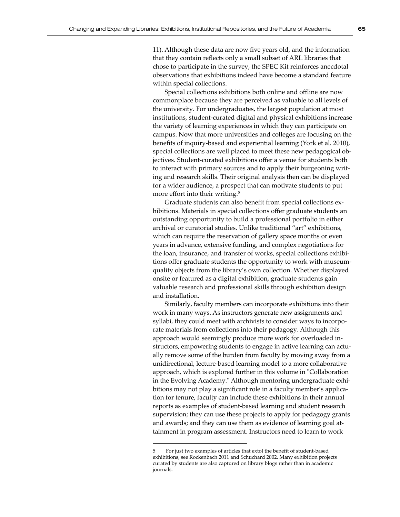11). Although these data are now five years old, and the information that they contain reflects only a small subset of ARL libraries that chose to participate in the survey, the SPEC Kit reinforces anecdotal observations that exhibitions indeed have become a standard feature within special collections.

Special collections exhibitions both online and offline are now commonplace because they are perceived as valuable to all levels of the university. For undergraduates, the largest population at most institutions, student-curated digital and physical exhibitions increase the variety of learning experiences in which they can participate on campus. Now that more universities and colleges are focusing on the benefits of inquiry-based and experiential learning (York et al. 2010), special collections are well placed to meet these new pedagogical objectives. Student-curated exhibitions offer a venue for students both to interact with primary sources and to apply their burgeoning writing and research skills. Their original analysis then can be displayed for a wider audience, a prospect that can motivate students to put more effort into their writing.<sup>5</sup>

Graduate students can also benefit from special collections exhibitions. Materials in special collections offer graduate students an outstanding opportunity to build a professional portfolio in either archival or curatorial studies. Unlike traditional "art" exhibitions, which can require the reservation of gallery space months or even years in advance, extensive funding, and complex negotiations for the loan, insurance, and transfer of works, special collections exhibitions offer graduate students the opportunity to work with museumquality objects from the library's own collection. Whether displayed onsite or featured as a digital exhibition, graduate students gain valuable research and professional skills through exhibition design and installation.

Similarly, faculty members can incorporate exhibitions into their work in many ways. As instructors generate new assignments and syllabi, they could meet with archivists to consider ways to incorporate materials from collections into their pedagogy. Although this approach would seemingly produce more work for overloaded instructors, empowering students to engage in active learning can actually remove some of the burden from faculty by moving away from a unidirectional, lecture-based learning model to a more collaborative approach, which is explored further in this volume in "Collaboration in the Evolving Academy." Although mentoring undergraduate exhibitions may not play a significant role in a faculty member's application for tenure, faculty can include these exhibitions in their annual reports as examples of student-based learning and student research supervision; they can use these projects to apply for pedagogy grants and awards; and they can use them as evidence of learning goal attainment in program assessment. Instructors need to learn to work

<sup>5</sup> For just two examples of articles that extol the benefit of student-based exhibitions, see Rockenbach 2011 and Schuchard 2002. Many exhibition projects curated by students are also captured on library blogs rather than in academic journals.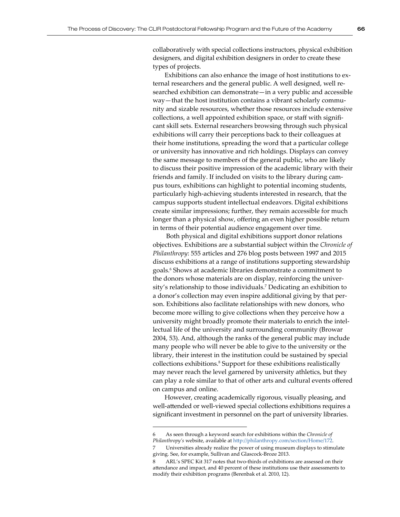collaboratively with special collections instructors, physical exhibition designers, and digital exhibition designers in order to create these types of projects.

Exhibitions can also enhance the image of host institutions to external researchers and the general public. A well designed, well researched exhibition can demonstrate—in a very public and accessible way—that the host institution contains a vibrant scholarly community and sizable resources, whether those resources include extensive collections, a well appointed exhibition space, or staff with significant skill sets. External researchers browsing through such physical exhibitions will carry their perceptions back to their colleagues at their home institutions, spreading the word that a particular college or university has innovative and rich holdings. Displays can convey the same message to members of the general public, who are likely to discuss their positive impression of the academic library with their friends and family. If included on visits to the library during campus tours, exhibitions can highlight to potential incoming students, particularly high-achieving students interested in research, that the campus supports student intellectual endeavors. Digital exhibitions create similar impressions; further, they remain accessible for much longer than a physical show, offering an even higher possible return in terms of their potential audience engagement over time.

 Both physical and digital exhibitions support donor relations objectives. Exhibitions are a substantial subject within the *Chronicle of Philanthropy*: 555 articles and 276 blog posts between 1997 and 2015 discuss exhibitions at a range of institutions supporting stewardship goals.<sup>6</sup> Shows at academic libraries demonstrate a commitment to the donors whose materials are on display, reinforcing the university's relationship to those individuals.<sup>7</sup> Dedicating an exhibition to a donor's collection may even inspire additional giving by that person. Exhibitions also facilitate relationships with new donors, who become more willing to give collections when they perceive how a university might broadly promote their materials to enrich the intellectual life of the university and surrounding community (Browar 2004, 53). And, although the ranks of the general public may include many people who will never be able to give to the university or the library, their interest in the institution could be sustained by special collections exhibitions.<sup>8</sup> Support for these exhibitions realistically may never reach the level garnered by university athletics, but they can play a role similar to that of other arts and cultural events offered on campus and online.

However, creating academically rigorous, visually pleasing, and well-attended or well-viewed special collections exhibitions requires a significant investment in personnel on the part of university libraries.

<sup>6</sup> As seen through a keyword search for exhibitions within the *Chronicle of Philanthropy's* website, available at<http://philanthropy.com/section/Home/172>.

Universities already realize the power of using museum displays to stimulate giving. See, for example, Sullivan and Glascock-Broze 2013.

<sup>8</sup> ARL's SPEC Kit 317 notes that two-thirds of exhibitions are assessed on their attendance and impact, and 40 percent of these institutions use their assessments to modify their exhibition programs (Berenbak et al. 2010, 12).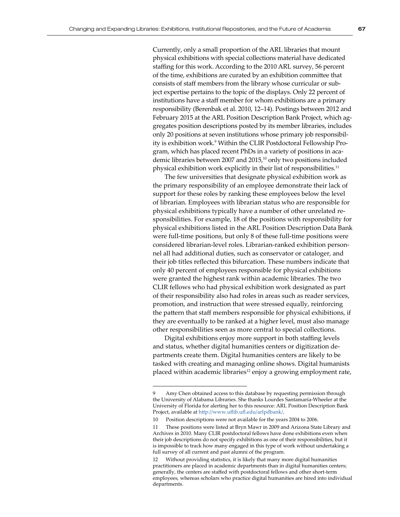Currently, only a small proportion of the ARL libraries that mount physical exhibitions with special collections material have dedicated staffing for this work. According to the 2010 ARL survey, 56 percent of the time, exhibitions are curated by an exhibition committee that consists of staff members from the library whose curricular or subject expertise pertains to the topic of the displays. Only 22 percent of institutions have a staff member for whom exhibitions are a primary responsibility (Berenbak et al. 2010, 12–14). Postings between 2012 and February 2015 at the ARL Position Description Bank Project, which aggregates position descriptions posted by its member libraries, includes only 20 positions at seven institutions whose primary job responsibility is exhibition work.<sup>9</sup> Within the CLIR Postdoctoral Fellowship Program, which has placed recent PhDs in a variety of positions in academic libraries between 2007 and  $2015<sup>10</sup>$  only two positions included physical exhibition work explicitly in their list of responsibilities.<sup>11</sup>

The few universities that designate physical exhibition work as the primary responsibility of an employee demonstrate their lack of support for these roles by ranking these employees below the level of librarian. Employees with librarian status who are responsible for physical exhibitions typically have a number of other unrelated responsibilities. For example, 18 of the positions with responsibility for physical exhibitions listed in the ARL Position Description Data Bank were full-time positions, but only 8 of these full-time positions were considered librarian-level roles. Librarian-ranked exhibition personnel all had additional duties, such as conservator or cataloger, and their job titles reflected this bifurcation. These numbers indicate that only 40 percent of employees responsible for physical exhibitions were granted the highest rank within academic libraries. The two CLIR fellows who had physical exhibition work designated as part of their responsibility also had roles in areas such as reader services, promotion, and instruction that were stressed equally, reinforcing the pattern that staff members responsible for physical exhibitions, if they are eventually to be ranked at a higher level, must also manage other responsibilities seen as more central to special collections.

Digital exhibitions enjoy more support in both staffing levels and status, whether digital humanities centers or digitization departments create them. Digital humanities centers are likely to be tasked with creating and managing online shows. Digital humanists placed within academic libraries<sup>12</sup> enjoy a growing employment rate,

Amy Chen obtained access to this database by requesting permission through the University of Alabama Libraries. She thanks Lourdes Santamaría-Wheeler at the University of Florida for alerting her to this resource: ARL Position Description Bank Project, available at<http://www.uflib.ufl.edu/arlpdbank/>.

<sup>10</sup> Position descriptions were not available for the years 2004 to 2006.

<sup>11</sup> These positions were listed at Bryn Mawr in 2009 and Arizona State Library and Archives in 2010. Many CLIR postdoctoral fellows have done exhibitions even when their job descriptions do not specify exhibitions as one of their responsibilities, but it is impossible to track how many engaged in this type of work without undertaking a full survey of all current and past alumni of the program.

<sup>12</sup> Without providing statistics, it is likely that many more digital humanities practitioners are placed in academic departments than in digital humanities centers; generally, the centers are staffed with postdoctoral fellows and other short-term employees, whereas scholars who practice digital humanities are hired into individual departments.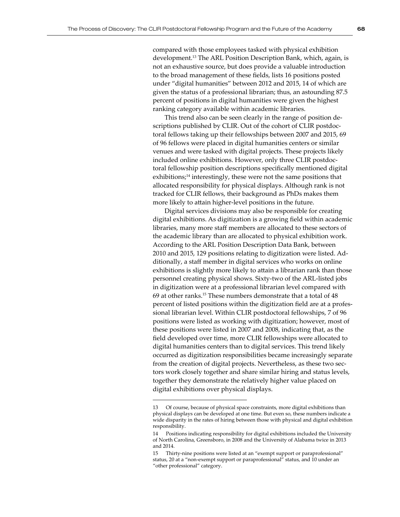compared with those employees tasked with physical exhibition development.<sup>13</sup> The ARL Position Description Bank, which, again, is not an exhaustive source, but does provide a valuable introduction to the broad management of these fields, lists 16 positions posted under "digital humanities" between 2012 and 2015, 14 of which are given the status of a professional librarian; thus, an astounding 87.5 percent of positions in digital humanities were given the highest ranking category available within academic libraries.

This trend also can be seen clearly in the range of position descriptions published by CLIR. Out of the cohort of CLIR postdoctoral fellows taking up their fellowships between 2007 and 2015, 69 of 96 fellows were placed in digital humanities centers or similar venues and were tasked with digital projects. These projects likely included online exhibitions. However, only three CLIR postdoctoral fellowship position descriptions specifically mentioned digital exhibitions;<sup>14</sup> interestingly, these were not the same positions that allocated responsibility for physical displays. Although rank is not tracked for CLIR fellows, their background as PhDs makes them more likely to attain higher-level positions in the future.

Digital services divisions may also be responsible for creating digital exhibitions. As digitization is a growing field within academic libraries, many more staff members are allocated to these sectors of the academic library than are allocated to physical exhibition work. According to the ARL Position Description Data Bank, between 2010 and 2015, 129 positions relating to digitization were listed. Additionally, a staff member in digital services who works on online exhibitions is slightly more likely to attain a librarian rank than those personnel creating physical shows. Sixty-two of the ARL-listed jobs in digitization were at a professional librarian level compared with 69 at other ranks.<sup>15</sup> These numbers demonstrate that a total of 48 percent of listed positions within the digitization field are at a professional librarian level. Within CLIR postdoctoral fellowships, 7 of 96 positions were listed as working with digitization; however, most of these positions were listed in 2007 and 2008, indicating that, as the field developed over time, more CLIR fellowships were allocated to digital humanities centers than to digital services. This trend likely occurred as digitization responsibilities became increasingly separate from the creation of digital projects. Nevertheless, as these two sectors work closely together and share similar hiring and status levels, together they demonstrate the relatively higher value placed on digital exhibitions over physical displays.

<sup>13</sup> Of course, because of physical space constraints, more digital exhibitions than physical displays can be developed at one time. But even so, these numbers indicate a wide disparity in the rates of hiring between those with physical and digital exhibition responsibility.

<sup>14</sup> Positions indicating responsibility for digital exhibitions included the University of North Carolina, Greensboro, in 2008 and the University of Alabama twice in 2013 and 2014.

<sup>15</sup> Thirty-nine positions were listed at an "exempt support or paraprofessional" status, 20 at a "non-exempt support or paraprofessional" status, and 10 under an "other professional" category.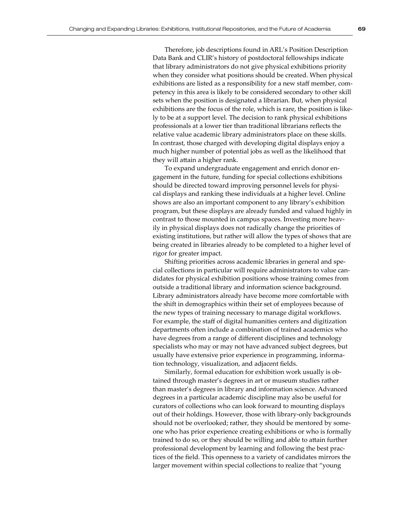Therefore, job descriptions found in ARL's Position Description Data Bank and CLIR's history of postdoctoral fellowships indicate that library administrators do not give physical exhibitions priority when they consider what positions should be created. When physical exhibitions are listed as a responsibility for a new staff member, competency in this area is likely to be considered secondary to other skill sets when the position is designated a librarian. But, when physical exhibitions are the focus of the role, which is rare, the position is likely to be at a support level. The decision to rank physical exhibitions professionals at a lower tier than traditional librarians reflects the relative value academic library administrators place on these skills. In contrast, those charged with developing digital displays enjoy a much higher number of potential jobs as well as the likelihood that they will attain a higher rank.

To expand undergraduate engagement and enrich donor engagement in the future, funding for special collections exhibitions should be directed toward improving personnel levels for physical displays and ranking these individuals at a higher level. Online shows are also an important component to any library's exhibition program, but these displays are already funded and valued highly in contrast to those mounted in campus spaces. Investing more heavily in physical displays does not radically change the priorities of existing institutions, but rather will allow the types of shows that are being created in libraries already to be completed to a higher level of rigor for greater impact.

Shifting priorities across academic libraries in general and special collections in particular will require administrators to value candidates for physical exhibition positions whose training comes from outside a traditional library and information science background. Library administrators already have become more comfortable with the shift in demographics within their set of employees because of the new types of training necessary to manage digital workflows. For example, the staff of digital humanities centers and digitization departments often include a combination of trained academics who have degrees from a range of different disciplines and technology specialists who may or may not have advanced subject degrees, but usually have extensive prior experience in programming, information technology, visualization, and adjacent fields.

Similarly, formal education for exhibition work usually is obtained through master's degrees in art or museum studies rather than master's degrees in library and information science. Advanced degrees in a particular academic discipline may also be useful for curators of collections who can look forward to mounting displays out of their holdings. However, those with library-only backgrounds should not be overlooked; rather, they should be mentored by someone who has prior experience creating exhibitions or who is formally trained to do so, or they should be willing and able to attain further professional development by learning and following the best practices of the field. This openness to a variety of candidates mirrors the larger movement within special collections to realize that "young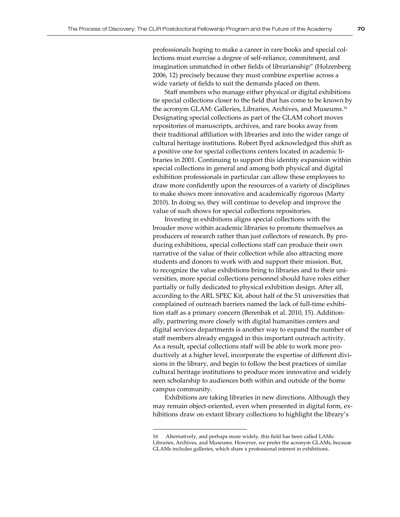professionals hoping to make a career in rare books and special collections must exercise a degree of self-reliance, commitment, and imagination unmatched in other fields of librarianship" (Holzenberg 2006, 12) precisely because they must combine expertise across a wide variety of fields to suit the demands placed on them.

Staff members who manage either physical or digital exhibitions tie special collections closer to the field that has come to be known by the acronym GLAM: Galleries, Libraries, Archives, and Museums.<sup>16</sup> Designating special collections as part of the GLAM cohort moves repositories of manuscripts, archives, and rare books away from their traditional affiliation with libraries and into the wider range of cultural heritage institutions. Robert Byrd acknowledged this shift as a positive one for special collections centers located in academic libraries in 2001. Continuing to support this identity expansion within special collections in general and among both physical and digital exhibition professionals in particular can allow these employees to draw more confidently upon the resources of a variety of disciplines to make shows more innovative and academically rigorous (Marty 2010). In doing so, they will continue to develop and improve the value of such shows for special collections repositories.

Investing in exhibitions aligns special collections with the broader move within academic libraries to promote themselves as producers of research rather than just collectors of research. By producing exhibitions, special collections staff can produce their own narrative of the value of their collection while also attracting more students and donors to work with and support their mission. But, to recognize the value exhibitions bring to libraries and to their universities, more special collections personnel should have roles either partially or fully dedicated to physical exhibition design. After all, according to the ARL SPEC Kit, about half of the 51 universities that complained of outreach barriers named the lack of full-time exhibition staff as a primary concern (Berenbak et al. 2010, 15). Additionally, partnering more closely with digital humanities centers and digital services departments is another way to expand the number of staff members already engaged in this important outreach activity. As a result, special collections staff will be able to work more productively at a higher level, incorporate the expertise of different divisions in the library, and begin to follow the best practices of similar cultural heritage institutions to produce more innovative and widely seen scholarship to audiences both within and outside of the home campus community.

Exhibitions are taking libraries in new directions. Although they may remain object-oriented, even when presented in digital form, exhibitions draw on extant library collections to highlight the library's

<sup>16</sup> Alternatively, and perhaps more widely, this field has been called LAMs: Libraries, Archives, and Museums. However, we prefer the acronym GLAMs, because GLAMs includes galleries, which share a professional interest in exhibitions.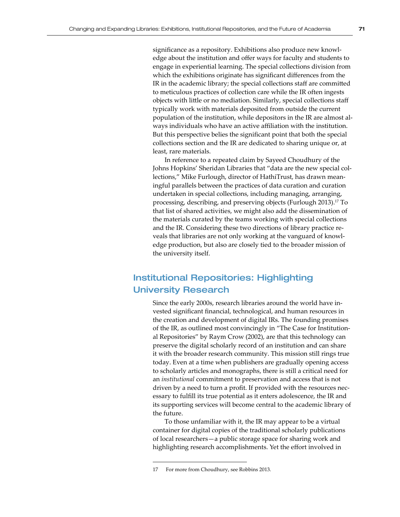significance as a repository. Exhibitions also produce new knowledge about the institution and offer ways for faculty and students to engage in experiential learning. The special collections division from which the exhibitions originate has significant differences from the IR in the academic library; the special collections staff are committed to meticulous practices of collection care while the IR often ingests objects with little or no mediation. Similarly, special collections staff typically work with materials deposited from outside the current population of the institution, while depositors in the IR are almost always individuals who have an active affiliation with the institution. But this perspective belies the significant point that both the special collections section and the IR are dedicated to sharing unique or, at least, rare materials.

In reference to a repeated claim by Sayeed Choudhury of the Johns Hopkins' Sheridan Libraries that "data are the new special collections," Mike Furlough, director of HathiTrust, has drawn meaningful parallels between the practices of data curation and curation undertaken in special collections, including managing, arranging, processing, describing, and preserving objects (Furlough 2013).<sup>17</sup> To that list of shared activities, we might also add the dissemination of the materials curated by the teams working with special collections and the IR. Considering these two directions of library practice reveals that libraries are not only working at the vanguard of knowledge production, but also are closely tied to the broader mission of the university itself.

## Institutional Repositories: Highlighting University Research

Since the early 2000s, research libraries around the world have invested significant financial, technological, and human resources in the creation and development of digital IRs. The founding promises of the IR, as outlined most convincingly in "The Case for Institutional Repositories" by Raym Crow (2002), are that this technology can preserve the digital scholarly record of an institution and can share it with the broader research community. This mission still rings true today. Even at a time when publishers are gradually opening access to scholarly articles and monographs, there is still a critical need for an *institutional* commitment to preservation and access that is not driven by a need to turn a profit. If provided with the resources necessary to fulfill its true potential as it enters adolescence, the IR and its supporting services will become central to the academic library of the future.

To those unfamiliar with it, the IR may appear to be a virtual container for digital copies of the traditional scholarly publications of local researchers—a public storage space for sharing work and highlighting research accomplishments. Yet the effort involved in

<sup>17</sup> For more from Choudhury, see Robbins 2013.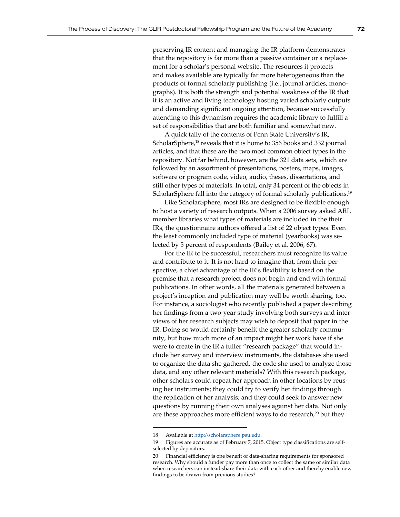preserving IR content and managing the IR platform demonstrates that the repository is far more than a passive container or a replacement for a scholar's personal website. The resources it protects and makes available are typically far more heterogeneous than the products of formal scholarly publishing (i.e., journal articles, monographs). It is both the strength and potential weakness of the IR that it is an active and living technology hosting varied scholarly outputs and demanding significant ongoing attention, because successfully attending to this dynamism requires the academic library to fulfill a set of responsibilities that are both familiar and somewhat new.

A quick tally of the contents of Penn State University's IR, ScholarSphere,<sup>18</sup> reveals that it is home to 356 books and 332 journal articles, and that these are the two most common object types in the repository. Not far behind, however, are the 321 data sets, which are followed by an assortment of presentations, posters, maps, images, software or program code, video, audio, theses, dissertations, and still other types of materials. In total, only 34 percent of the objects in ScholarSphere fall into the category of formal scholarly publications.<sup>19</sup>

Like ScholarSphere, most IRs are designed to be flexible enough to host a variety of research outputs. When a 2006 survey asked ARL member libraries what types of materials are included in the their IRs, the questionnaire authors offered a list of 22 object types. Even the least commonly included type of material (yearbooks) was selected by 5 percent of respondents (Bailey et al. 2006, 67).

For the IR to be successful, researchers must recognize its value and contribute to it. It is not hard to imagine that, from their perspective, a chief advantage of the IR's flexibility is based on the premise that a research project does not begin and end with formal publications. In other words, all the materials generated between a project's inception and publication may well be worth sharing, too. For instance, a sociologist who recently published a paper describing her findings from a two-year study involving both surveys and interviews of her research subjects may wish to deposit that paper in the IR. Doing so would certainly benefit the greater scholarly community, but how much more of an impact might her work have if she were to create in the IR a fuller "research package" that would include her survey and interview instruments, the databases she used to organize the data she gathered, the code she used to analyze those data, and any other relevant materials? With this research package, other scholars could repeat her approach in other locations by reusing her instruments; they could try to verify her findings through the replication of her analysis; and they could seek to answer new questions by running their own analyses against her data. Not only are these approaches more efficient ways to do research, $^{20}$  but they

<sup>18</sup> Available at <http://scholarsphere.psu.edu>.

<sup>19</sup> Figures are accurate as of February 7, 2015. Object type classifications are selfselected by depositors.

<sup>20</sup> Financial efficiency is one benefit of data-sharing requirements for sponsored research. Why should a funder pay more than once to collect the same or similar data when researchers can instead share their data with each other and thereby enable new findings to be drawn from previous studies?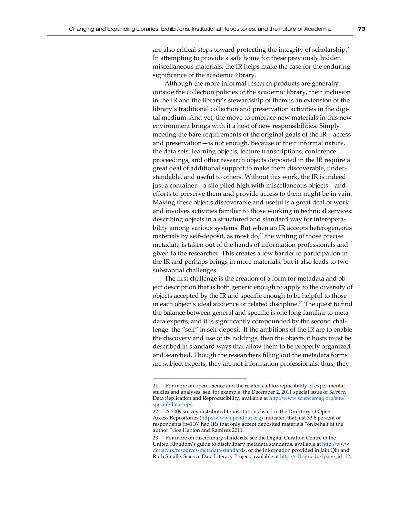are also critical steps toward protecting the integrity of scholarship.<sup>21</sup> In attempting to provide a safe home for these previously hidden miscellaneous materials, the IR helps make the case for the enduring significance of the academic library.

Although the more informal research products are generally outside the collection policies of the academic library, their inclusion in the IR and the library's stewardship of them is an extension of the library's traditional collection and preservation activities in the digital medium. And yet, the move to embrace new materials in this new environment brings with it a host of new responsibilities. Simply meeting the bare requirements of the original goals of the IR—access and preservation—is not enough. Because of their informal nature, the data sets, learning objects, lecture transcriptions, conference proceedings, and other research objects deposited in the IR require a great deal of additional support to make them discoverable, understandable, and useful to others. Without this work, the IR is indeed just a container—a silo piled high with miscellaneous objects—and efforts to preserve them and provide access to them might be in vain. Making these objects discoverable and useful is a great deal of work and involves activities familiar to those working in technical services: describing objects in a structured and standard way for interoperability among various systems. But when an IR accepts heterogeneous materials by self-deposit, as most do, $22$  the writing of those precise metadata is taken out of the hands of information professionals and given to the researcher. This creates a low barrier to participation in the IR and perhaps brings in more materials, but it also leads to two substantial challenges.

The first challenge is the creation of a form for metadata and object description that is both generic enough to apply to the diversity of objects accepted by the IR and specific enough to be helpful to those in each object's ideal audience or related discipline.<sup>23</sup> The quest to find the balance between general and specific is one long familiar to metadata experts, and it is significantly compounded by the second challenge: the "self" in self-deposit. If the ambitions of the IR are to enable the discovery and use of its holdings, then the objects it hosts must be described in standard ways that allow them to be properly organized and searched. Though the researchers filling out the metadata forms are subject experts, they are not information professionals; thus, they

<sup>21</sup> For more on open science and the related call for replicability of experimental studies and analyses, see, for example, the December 2, 2011 special issue of *Science*, Data Replication and Reproducibility, available at [http://www.sciencemag.org/site/](http://www.sciencemag.org/site/special/data-rep/) [special/data-rep/](http://www.sciencemag.org/site/special/data-rep/).

<sup>22</sup> A 2009 survey distributed to institutions listed in the Directory of Open Access Repositories [\(http://www.opendoar.org\)](http://www.opendoar.org) indicated that just 33.6 percent of respondents (n=116) had IRs that only accept deposited materials "on behalf of the author." See Hanlon and Ramirez 2011.

<sup>23</sup> For more on disciplinary standards, see the Digital Curation Centre in the United Kingdom's guide to disciplinary metadata standards, available at [http://www.](http://www.dcc.ac.uk/resources/metadata-standards) [dcc.ac.uk/resources/metadata-standards](http://www.dcc.ac.uk/resources/metadata-standards), or the information provided in Jain Qin and Ruth Small's Science Data Literacy Project, available at [http://sdl.syr.edu/?page\\_id=32](http://sdl.syr.edu/?page_id=32).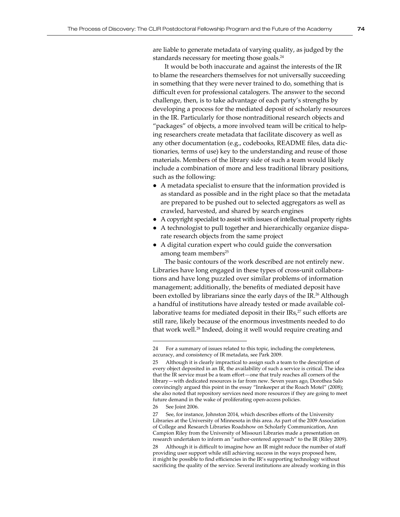are liable to generate metadata of varying quality, as judged by the standards necessary for meeting those goals.<sup>24</sup>

It would be both inaccurate and against the interests of the IR to blame the researchers themselves for not universally succeeding in something that they were never trained to do, something that is difficult even for professional catalogers. The answer to the second challenge, then, is to take advantage of each party's strengths by developing a process for the mediated deposit of scholarly resources in the IR. Particularly for those nontraditional research objects and "packages" of objects, a more involved team will be critical to helping researchers create metadata that facilitate discovery as well as any other documentation (e.g., codebooks, README files, data dictionaries, terms of use) key to the understanding and reuse of those materials. Members of the library side of such a team would likely include a combination of more and less traditional library positions, such as the following:

- A metadata specialist to ensure that the information provided is as standard as possible and in the right place so that the metadata are prepared to be pushed out to selected aggregators as well as crawled, harvested, and shared by search engines
- A copyright specialist to assist with issues of intellectual property rights
- A technologist to pull together and hierarchically organize disparate research objects from the same project
- A digital curation expert who could guide the conversation among team members<sup>25</sup>

The basic contours of the work described are not entirely new. Libraries have long engaged in these types of cross-unit collaborations and have long puzzled over similar problems of information management; additionally, the benefits of mediated deposit have been extolled by librarians since the early days of the IR.<sup>26</sup> Although a handful of institutions have already tested or made available collaborative teams for mediated deposit in their  $IRs<sub>1</sub><sup>27</sup>$  such efforts are still rare, likely because of the enormous investments needed to do that work well.<sup>28</sup> Indeed, doing it well would require creating and

<sup>24</sup> For a summary of issues related to this topic, including the completeness, accuracy, and consistency of IR metadata, see Park 2009.

<sup>25</sup> Although it is clearly impractical to assign such a team to the description of every object deposited in an IR, the availability of such a service is critical. The idea that the IR service must be a team effort—one that truly reaches all corners of the library—with dedicated resources is far from new. Seven years ago, Dorothea Salo convincingly argued this point in the essay "Innkeeper at the Roach Motel" (2008); she also noted that repository services need more resources if they are going to meet future demand in the wake of proliferating open-access policies.

<sup>26</sup> See Joint 2006.

<sup>27</sup> See, for instance, Johnston 2014, which describes efforts of the University Libraries at the University of Minnesota in this area. As part of the 2009 Association of College and Research Libraries Roadshow on Scholarly Communication, Ann Campion Riley from the University of Missouri Libraries made a presentation on research undertaken to inform an "author-centered approach" to the IR (Riley 2009).

<sup>28</sup> Although it is difficult to imagine how an IR might reduce the number of staff providing user support while still achieving success in the ways proposed here, it might be possible to find efficiencies in the IR's supporting technology without sacrificing the quality of the service. Several institutions are already working in this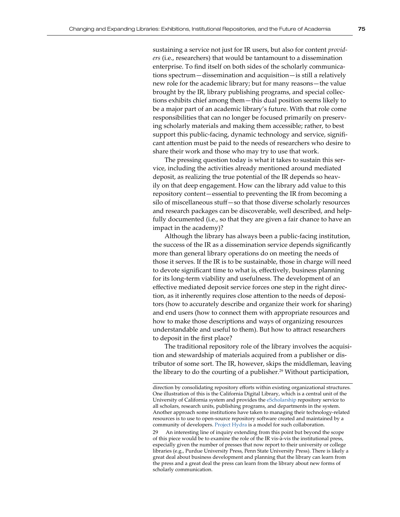sustaining a service not just for IR users, but also for content *providers* (i.e., researchers) that would be tantamount to a dissemination enterprise. To find itself on both sides of the scholarly communications spectrum—dissemination and acquisition—is still a relatively new role for the academic library; but for many reasons—the value brought by the IR, library publishing programs, and special collections exhibits chief among them—this dual position seems likely to be a major part of an academic library's future. With that role come responsibilities that can no longer be focused primarily on preserving scholarly materials and making them accessible; rather, to best support this public-facing, dynamic technology and service, significant attention must be paid to the needs of researchers who desire to

The pressing question today is what it takes to sustain this service, including the activities already mentioned around mediated deposit, as realizing the true potential of the IR depends so heavily on that deep engagement. How can the library add value to this repository content—essential to preventing the IR from becoming a silo of miscellaneous stuff—so that those diverse scholarly resources and research packages can be discoverable, well described, and helpfully documented (i.e., so that they are given a fair chance to have an impact in the academy)?

share their work and those who may try to use that work.

Although the library has always been a public-facing institution, the success of the IR as a dissemination service depends significantly more than general library operations do on meeting the needs of those it serves. If the IR is to be sustainable, those in charge will need to devote significant time to what is, effectively, business planning for its long-term viability and usefulness. The development of an effective mediated deposit service forces one step in the right direction, as it inherently requires close attention to the needs of depositors (how to accurately describe and organize their work for sharing) and end users (how to connect them with appropriate resources and how to make those descriptions and ways of organizing resources understandable and useful to them). But how to attract researchers to deposit in the first place?

The traditional repository role of the library involves the acquisition and stewardship of materials acquired from a publisher or distributor of some sort. The IR, however, skips the middleman, leaving the library to do the courting of a publisher.<sup>29</sup> Without participation,

29 An interesting line of inquiry extending from this point but beyond the scope of this piece would be to examine the role of the IR vis-à-vis the institutional press, especially given the number of presses that now report to their university or college libraries (e.g., Purdue University Press, Penn State University Press). There is likely a great deal about business development and planning that the library can learn from the press and a great deal the press can learn from the library about new forms of scholarly communication.

direction by consolidating repository efforts within existing organizational structures. One illustration of this is the California Digital Library, which is a central unit of the University of California system and provides the [eScholarship](http://escholarship.org) repository service to all scholars, research units, publishing programs, and departments in the system. Another approach some institutions have taken to managing their technology-related resources is to use to open-source repository software created and maintained by a community of developers. [Project Hydra](http://projecthydra.org/) is a model for such collaboration.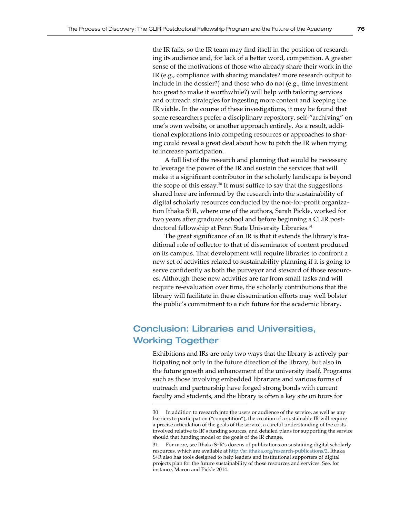the IR fails, so the IR team may find itself in the position of researching its audience and, for lack of a better word, competition. A greater sense of the motivations of those who already share their work in the IR (e.g., compliance with sharing mandates? more research output to include in the dossier?) and those who do not (e.g., time investment too great to make it worthwhile?) will help with tailoring services and outreach strategies for ingesting more content and keeping the IR viable. In the course of these investigations, it may be found that some researchers prefer a disciplinary repository, self-"archiving" on one's own website, or another approach entirely. As a result, additional explorations into competing resources or approaches to sharing could reveal a great deal about how to pitch the IR when trying to increase participation.

A full list of the research and planning that would be necessary to leverage the power of the IR and sustain the services that will make it a significant contributor in the scholarly landscape is beyond the scope of this essay.<sup>30</sup> It must suffice to say that the suggestions shared here are informed by the research into the sustainability of digital scholarly resources conducted by the not-for-profit organization Ithaka S+R, where one of the authors, Sarah Pickle, worked for two years after graduate school and before beginning a CLIR postdoctoral fellowship at Penn State University Libraries.<sup>31</sup>

The great significance of an IR is that it extends the library's traditional role of collector to that of disseminator of content produced on its campus. That development will require libraries to confront a new set of activities related to sustainability planning if it is going to serve confidently as both the purveyor and steward of those resources. Although these new activities are far from small tasks and will require re-evaluation over time, the scholarly contributions that the library will facilitate in these dissemination efforts may well bolster the public's commitment to a rich future for the academic library.

## Conclusion: Libraries and Universities, Working Together

Exhibitions and IRs are only two ways that the library is actively participating not only in the future direction of the library, but also in the future growth and enhancement of the university itself. Programs such as those involving embedded librarians and various forms of outreach and partnership have forged strong bonds with current faculty and students, and the library is often a key site on tours for

<sup>30</sup> In addition to research into the users or audience of the service, as well as any barriers to participation ("competition"), the creation of a sustainable IR will require a precise articulation of the goals of the service, a careful understanding of the costs involved relative to IR's funding sources, and detailed plans for supporting the service should that funding model or the goals of the IR change.

<sup>31</sup> For more, see Ithaka S+R's dozens of publications on sustaining digital scholarly resources, which are available at [http://sr.ithaka.org/research-publications/2.](http://sr.ithaka.org/research-publications/2) Ithaka S+R also has tools designed to help leaders and institutional supporters of digital projects plan for the future sustainability of those resources and services. See, for instance, Maron and Pickle 2014.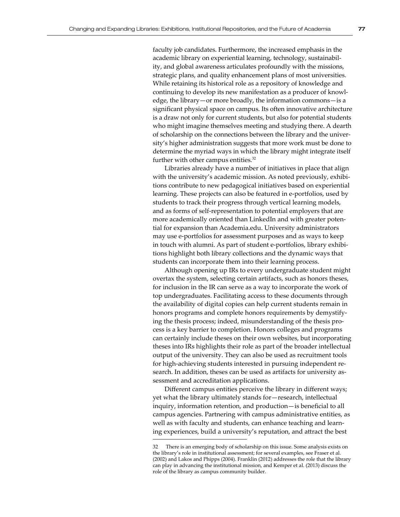faculty job candidates. Furthermore, the increased emphasis in the academic library on experiential learning, technology, sustainability, and global awareness articulates profoundly with the missions, strategic plans, and quality enhancement plans of most universities. While retaining its historical role as a repository of knowledge and continuing to develop its new manifestation as a producer of knowledge, the library—or more broadly, the information commons—is a significant physical space on campus. Its often innovative architecture is a draw not only for current students, but also for potential students who might imagine themselves meeting and studying there. A dearth of scholarship on the connections between the library and the university's higher administration suggests that more work must be done to determine the myriad ways in which the library might integrate itself further with other campus entities.<sup>32</sup>

Libraries already have a number of initiatives in place that align with the university's academic mission. As noted previously, exhibitions contribute to new pedagogical initiatives based on experiential learning. These projects can also be featured in e-portfolios, used by students to track their progress through vertical learning models, and as forms of self-representation to potential employers that are more academically oriented than LinkedIn and with greater potential for expansion than Academia.edu. University administrators may use e-portfolios for assessment purposes and as ways to keep in touch with alumni. As part of student e-portfolios, library exhibitions highlight both library collections and the dynamic ways that students can incorporate them into their learning process.

Although opening up IRs to every undergraduate student might overtax the system, selecting certain artifacts, such as honors theses, for inclusion in the IR can serve as a way to incorporate the work of top undergraduates. Facilitating access to these documents through the availability of digital copies can help current students remain in honors programs and complete honors requirements by demystifying the thesis process; indeed, misunderstanding of the thesis process is a key barrier to completion. Honors colleges and programs can certainly include theses on their own websites, but incorporating theses into IRs highlights their role as part of the broader intellectual output of the university. They can also be used as recruitment tools for high-achieving students interested in pursuing independent research. In addition, theses can be used as artifacts for university assessment and accreditation applications.

Different campus entities perceive the library in different ways; yet what the library ultimately stands for—research, intellectual inquiry, information retention, and production—is beneficial to all campus agencies. Partnering with campus administrative entities, as well as with faculty and students, can enhance teaching and learning experiences, build a university's reputation, and attract the best

<sup>32</sup> There is an emerging body of scholarship on this issue. Some analysis exists on the library's role in institutional assessment; for several examples, see Fraser et al. (2002) and Lakos and Phipps (2004). Franklin (2012) addresses the role that the library can play in advancing the institutional mission, and Kemper et al. (2013) discuss the role of the library as campus community builder.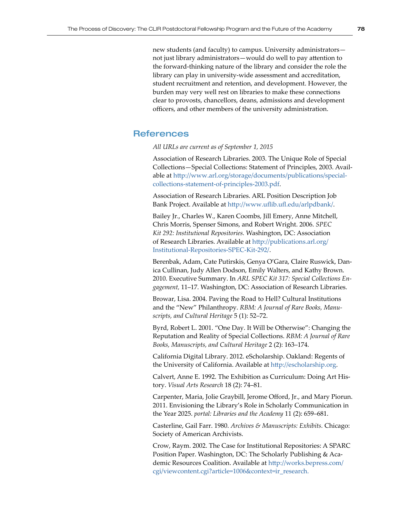new students (and faculty) to campus. University administrators not just library administrators—would do well to pay attention to the forward-thinking nature of the library and consider the role the library can play in university-wide assessment and accreditation, student recruitment and retention, and development. However, the burden may very well rest on libraries to make these connections clear to provosts, chancellors, deans, admissions and development officers, and other members of the university administration.

### **References**

*All URLs are current as of September 1, 2015* 

Association of Research Libraries. 2003. The Unique Role of Special Collections—Special Collections: Statement of Principles, 2003. Available at [http://www.arl.org/storage/documents/publications/special](http://www.arl.org/storage/documents/publications/special-collections-statement-of-principles-2003.pdf)[collections-statement-of-principles-2003.pdf](http://www.arl.org/storage/documents/publications/special-collections-statement-of-principles-2003.pdf).

Association of Research Libraries. ARL Position Description Job Bank Project. Available at <http://www.uflib.ufl.edu/arlpdbank/>.

Bailey Jr., Charles W., Karen Coombs, Jill Emery, Anne Mitchell, Chris Morris, Spenser Simons, and Robert Wright. 2006. *SPEC Kit 292: Institutional Repositories.* Washington, DC: Association of Research Libraries. Available at [http://publications.arl.org/](http://publications.arl.org/Institutional-Repositories-SPEC-Kit-292/) [Institutional-Repositories-SPEC-Kit-292/](http://publications.arl.org/Institutional-Repositories-SPEC-Kit-292/).

Berenbak, Adam, Cate Putirskis, Genya O'Gara, Claire Ruswick, Danica Cullinan, Judy Allen Dodson, Emily Walters, and Kathy Brown. 2010. Executive Summary. In *ARL SPEC Kit 317: Special Collections Engagement,* 11–17. Washington, DC: Association of Research Libraries.

Browar, Lisa. 2004. Paving the Road to Hell? Cultural Institutions and the "New" Philanthropy. *RBM: A Journal of Rare Books, Manuscripts, and Cultural Heritage* 5 (1): 52–72.

Byrd, Robert L. 2001. "One Day. It Will be Otherwise": Changing the Reputation and Reality of Special Collections. *RBM: A Journal of Rare Books, Manuscripts, and Cultural Heritage* 2 (2): 163–174.

California Digital Library. 2012. eScholarship. Oakland: Regents of the University of California. Available at <http://escholarship.org>.

Calvert, Anne E. 1992. The Exhibition as Curriculum: Doing Art History. *Visual Arts Research* 18 (2): 74–81.

Carpenter, Maria, Jolie Graybill, Jerome Offord, Jr., and Mary Piorun. 2011. Envisioning the Library's Role in Scholarly Communication in the Year 2025. *portal: Libraries and the Academy* 11 (2): 659–681.

Casterline, Gail Farr. 1980. *Archives & Manuscripts: Exhibits.* Chicago: Society of American Archivists.

Crow, Raym. 2002. The Case for Institutional Repositories: A SPARC Position Paper. Washington, DC: The Scholarly Publishing & Academic Resources Coalition. Available at [http://works.bepress.com/](http://works.bepress.com/cgi/viewcontent.cgi?article=1006&context=ir_research) [cgi/viewcontent.cgi?article=1006&context=ir\\_research](http://works.bepress.com/cgi/viewcontent.cgi?article=1006&context=ir_research).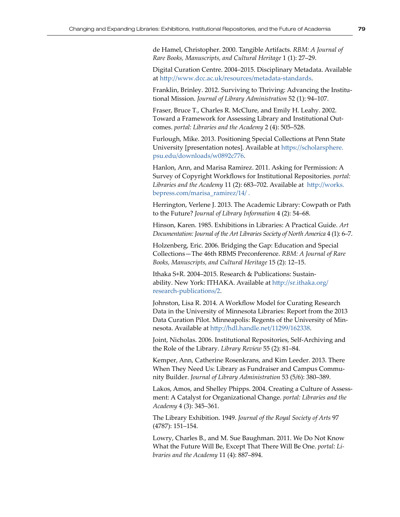de Hamel, Christopher. 2000. Tangible Artifacts. *RBM: A Journal of Rare Books, Manuscripts, and Cultural Heritage* 1 (1): 27–29.

Digital Curation Centre. 2004–2015. Disciplinary Metadata. Available at <http://www.dcc.ac.uk/resources/metadata-standards>.

Franklin, Brinley. 2012. Surviving to Thriving: Advancing the Institutional Mission. *Journal of Library Administration* 52 (1): 94–107.

Fraser, Bruce T., Charles R. McClure, and Emily H. Leahy. 2002. Toward a Framework for Assessing Library and Institutional Outcomes. *portal: Libraries and the Academy* 2 (4): 505–528.

Furlough, Mike. 2013. Positioning Special Collections at Penn State University [presentation notes]. Available at [https://scholarsphere.](https://scholarsphere.psu.edu/downloads/w0892c776) [psu.edu/downloads/w0892c776](https://scholarsphere.psu.edu/downloads/w0892c776).

Hanlon, Ann, and Marisa Ramirez. 2011. Asking for Permission: A Survey of Copyright Workflows for Institutional Repositories. *portal: Libraries and the Academy* 11 (2): 683–702. Available at [http://works.](http://works.bepress.com/marisa_ramirez/14/) [bepress.com/marisa\\_ramirez/14/](http://works.bepress.com/marisa_ramirez/14/) .

Herrington, Verlene J. 2013. The Academic Library: Cowpath or Path to the Future? *Journal of Library Information* 4 (2): 54–68.

Hinson, Karen. 1985. Exhibitions in Libraries: A Practical Guide. *Art Documentation: Journal of the Art Libraries Society of North America* 4 (1): 6–7.

Holzenberg, Eric. 2006. Bridging the Gap: Education and Special Collections—The 46th RBMS Preconference. *RBM: A Journal of Rare Books, Manuscripts, and Cultural Heritage* 15 (2): 12–15.

Ithaka S+R. 2004–2015. Research & Publications: Sustainability. New York: ITHAKA. Available at [http://sr.ithaka.org/](http://sr.ithaka.org/research-publications/2) [research-publications/2](http://sr.ithaka.org/research-publications/2).

Johnston, Lisa R. 2014. A Workflow Model for Curating Research Data in the University of Minnesota Libraries: Report from the 2013 Data Curation Pilot. Minneapolis: Regents of the University of Minnesota. Available at<http://hdl.handle.net/11299/162338>.

Joint, Nicholas. 2006. Institutional Repositories, Self-Archiving and the Role of the Library. *Library Review* 55 (2): 81–84.

Kemper, Ann, Catherine Rosenkrans, and Kim Leeder. 2013. There When They Need Us: Library as Fundraiser and Campus Community Builder. *Journal of Library Administration* 53 (5/6): 380–389.

Lakos, Amos, and Shelley Phipps. 2004. Creating a Culture of Assessment: A Catalyst for Organizational Change. *portal: Libraries and the Academy* 4 (3): 345–361.

The Library Exhibition. 1949. *Journal of the Royal Society of Arts* 97 (4787): 151–154.

Lowry, Charles B., and M. Sue Baughman. 2011. We Do Not Know What the Future Will Be, Except That There Will Be One. *portal: Libraries and the Academy* 11 (4): 887–894.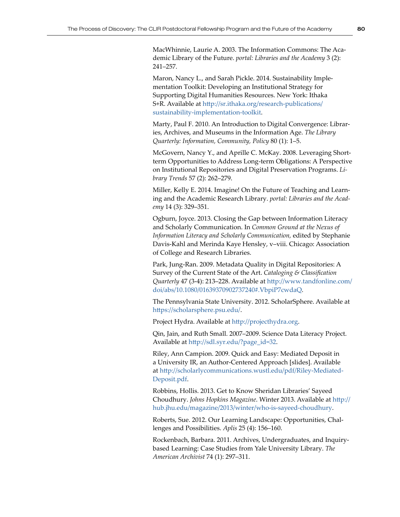MacWhinnie, Laurie A. 2003. The Information Commons: The Academic Library of the Future. *portal: Libraries and the Academy* 3 (2): 241–257.

Maron, Nancy L., and Sarah Pickle. 2014. Sustainability Implementation Toolkit: Developing an Institutional Strategy for Supporting Digital Humanities Resources. New York: Ithaka S+R. Available at [http://sr.ithaka.org/research-publications/](http://sr.ithaka.org/research-publications/sustainability-implementation-toolkit) [sustainability-implementation-toolkit](http://sr.ithaka.org/research-publications/sustainability-implementation-toolkit).

Marty, Paul F. 2010. An Introduction to Digital Convergence: Libraries, Archives, and Museums in the Information Age. *The Library Quarterly: Information, Community, Policy* 80 (1): 1–5.

McGovern, Nancy Y., and Aprille C. McKay. 2008. Leveraging Shortterm Opportunities to Address Long-term Obligations: A Perspective on Institutional Repositories and Digital Preservation Programs. *Library Trends* 57 (2): 262–279.

Miller, Kelly E. 2014. Imagine! On the Future of Teaching and Learning and the Academic Research Library. *portal: Libraries and the Academy* 14 (3): 329–351.

Ogburn, Joyce. 2013. Closing the Gap between Information Literacy and Scholarly Communication. In *Common Ground at the Nexus of Information Literacy and Scholarly Communication,* edited by Stephanie Davis-Kahl and Merinda Kaye Hensley, v–viii. Chicago: Association of College and Research Libraries.

Park, Jung-Ran. 2009. Metadata Quality in Digital Repositories: A Survey of the Current State of the Art. *Cataloging & Classification Quarterly* 47 (3-4): 213–228. Available at [http://www.tandfonline.com/](http://www.tandfonline.com/doi/abs/10.1080/01639370902737240#.VbpiP7cwdaQ) [doi/abs/10.1080/01639370902737240#.VbpiP7cwdaQ](http://www.tandfonline.com/doi/abs/10.1080/01639370902737240#.VbpiP7cwdaQ).

The Pennsylvania State University. 2012. ScholarSphere. Available at <https://scholarsphere.psu.edu/>.

Project Hydra. Available at<http://projecthydra.org>.

Qin, Jain, and Ruth Small. 2007–2009. Science Data Literacy Project. Available at [http://sdl.syr.edu/?page\\_id=32](http://sdl.syr.edu/?page_id=32).

Riley, Ann Campion. 2009. Quick and Easy: Mediated Deposit in a University IR, an Author-Centered Approach [slides]. Available at [http://scholarlycommunications.wustl.edu/pdf/Riley-Mediated](http://scholarlycommunications.wustl.edu/pdf/Riley-MediatedDeposit.pdf)-[Deposit.pdf](http://scholarlycommunications.wustl.edu/pdf/Riley-MediatedDeposit.pdf).

Robbins, Hollis. 2013. Get to Know Sheridan Libraries' Sayeed Choudhury. *Johns Hopkins Magazine*. Winter 2013. Available at [http://](http://hub.jhu.edu/magazine/2013/winter/who-is-sayeed-choudhury) [hub.jhu.edu/magazine/2013/winter/who-is-sayeed-choudhury](http://hub.jhu.edu/magazine/2013/winter/who-is-sayeed-choudhury).

Roberts, Sue. 2012. Our Learning Landscape: Opportunities, Challenges and Possibilities. *Aplis* 25 (4): 156–160.

Rockenbach, Barbara. 2011. Archives, Undergraduates, and Inquirybased Learning: Case Studies from Yale University Library. *The American Archivist* 74 (1): 297–311.